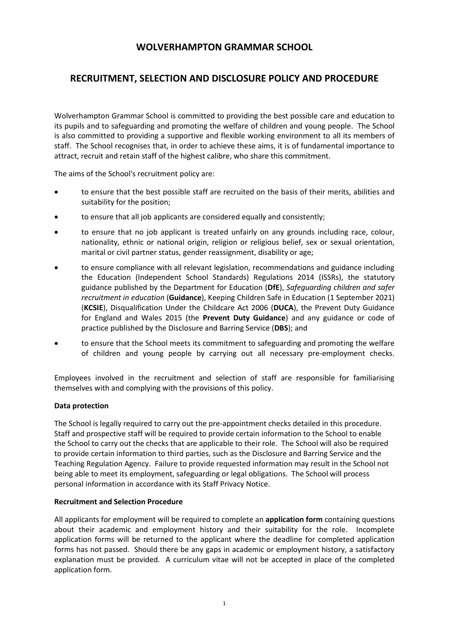# **WOLVERHAMPTON GRAMMAR SCHOOL**

# **RECRUITMENT, SELECTION AND DISCLOSURE POLICY AND PROCEDURE**

Wolverhampton Grammar School is committed to providing the best possible care and education to its pupils and to safeguarding and promoting the welfare of children and young people. The School is also committed to providing a supportive and flexible working environment to all its members of staff. The School recognises that, in order to achieve these aims, it is of fundamental importance to attract, recruit and retain staff of the highest calibre, who share this commitment.

The aims of the School's recruitment policy are:

- to ensure that the best possible staff are recruited on the basis of their merits, abilities and suitability for the position;
- to ensure that all job applicants are considered equally and consistently;
- to ensure that no job applicant is treated unfairly on any grounds including race, colour, nationality, ethnic or national origin, religion or religious belief, sex or sexual orientation, marital or civil partner status, gender reassignment, disability or age;
- to ensure compliance with all relevant legislation, recommendations and guidance including the Education (Independent School Standards) Regulations 2014 (ISSRs), the statutory guidance published by the Department for Education (**DfE**), *Safeguarding children and safer recruitment in education* (**Guidance**), Keeping Children Safe in Education (1 September 2021) (**KCSIE**), Disqualification Under the Childcare Act 2006 (**DUCA**), the Prevent Duty Guidance for England and Wales 2015 (the **Prevent Duty Guidance**) and any guidance or code of practice published by the Disclosure and Barring Service (**DBS**); and
- to ensure that the School meets its commitment to safeguarding and promoting the welfare of children and young people by carrying out all necessary pre-employment checks.

Employees involved in the recruitment and selection of staff are responsible for familiarising themselves with and complying with the provisions of this policy.

### **Data protection**

The School is legally required to carry out the pre-appointment checks detailed in this procedure. Staff and prospective staff will be required to provide certain information to the School to enable the School to carry out the checks that are applicable to their role. The School will also be required to provide certain information to third parties, such as the Disclosure and Barring Service and the Teaching Regulation Agency. Failure to provide requested information may result in the School not being able to meet its employment, safeguarding or legal obligations. The School will process personal information in accordance with its Staff Privacy Notice.

### **Recruitment and Selection Procedure**

All applicants for employment will be required to complete an **application form** containing questions about their academic and employment history and their suitability for the role. Incomplete application forms will be returned to the applicant where the deadline for completed application forms has not passed. Should there be any gaps in academic or employment history, a satisfactory explanation must be provided. A curriculum vitae will not be accepted in place of the completed application form.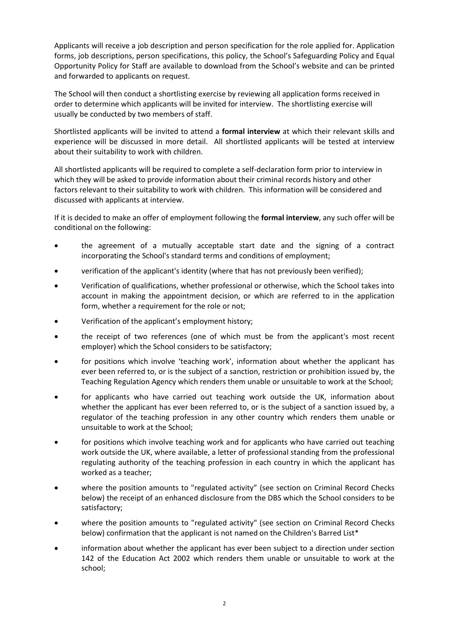Applicants will receive a job description and person specification for the role applied for. Application forms, job descriptions, person specifications, this policy, the School's Safeguarding Policy and Equal Opportunity Policy for Staff are available to download from the School's website and can be printed and forwarded to applicants on request.

The School will then conduct a shortlisting exercise by reviewing all application forms received in order to determine which applicants will be invited for interview. The shortlisting exercise will usually be conducted by two members of staff.

Shortlisted applicants will be invited to attend a **formal interview** at which their relevant skills and experience will be discussed in more detail. All shortlisted applicants will be tested at interview about their suitability to work with children.

All shortlisted applicants will be required to complete a self-declaration form prior to interview in which they will be asked to provide information about their criminal records history and other factors relevant to their suitability to work with children. This information will be considered and discussed with applicants at interview.

If it is decided to make an offer of employment following the **formal interview**, any such offer will be conditional on the following:

- the agreement of a mutually acceptable start date and the signing of a contract incorporating the School's standard terms and conditions of employment;
- verification of the applicant's identity (where that has not previously been verified);
- Verification of qualifications, whether professional or otherwise, which the School takes into account in making the appointment decision, or which are referred to in the application form, whether a requirement for the role or not;
- Verification of the applicant's employment history;
- the receipt of two references (one of which must be from the applicant's most recent employer) which the School considers to be satisfactory;
- for positions which involve 'teaching work', information about whether the applicant has ever been referred to, or is the subject of a sanction, restriction or prohibition issued by, the Teaching Regulation Agency which renders them unable or unsuitable to work at the School;
- for applicants who have carried out teaching work outside the UK, information about whether the applicant has ever been referred to, or is the subject of a sanction issued by, a regulator of the teaching profession in any other country which renders them unable or unsuitable to work at the School;
- for positions which involve teaching work and for applicants who have carried out teaching work outside the UK, where available, a letter of professional standing from the professional regulating authority of the teaching profession in each country in which the applicant has worked as a teacher;
- where the position amounts to "regulated activity" (see section on Criminal Record Checks below) the receipt of an enhanced disclosure from the DBS which the School considers to be satisfactory;
- where the position amounts to "regulated activity" (see section on Criminal Record Checks below) confirmation that the applicant is not named on the Children's Barred List\*
- information about whether the applicant has ever been subject to a direction under section 142 of the Education Act 2002 which renders them unable or unsuitable to work at the school;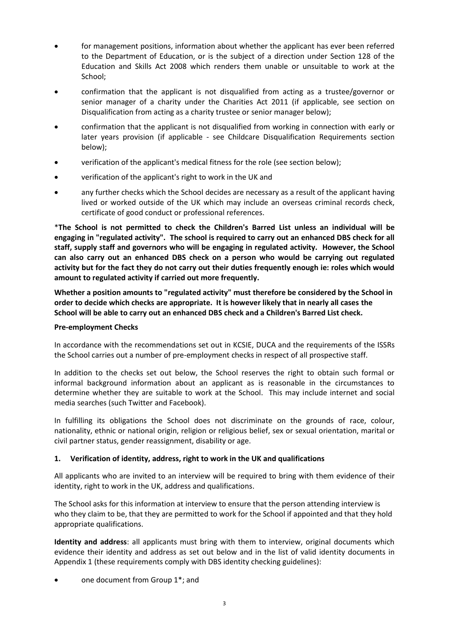- for management positions, information about whether the applicant has ever been referred to the Department of Education, or is the subject of a direction under Section 128 of the Education and Skills Act 2008 which renders them unable or unsuitable to work at the School;
- confirmation that the applicant is not disqualified from acting as a trustee/governor or senior manager of a charity under the Charities Act 2011 (if applicable, see section on Disqualification from acting as a charity trustee or senior manager below);
- confirmation that the applicant is not disqualified from working in connection with early or later years provision (if applicable - see Childcare Disqualification Requirements section below);
- verification of the applicant's medical fitness for the role (see section below);
- verification of the applicant's right to work in the UK and
- any further checks which the School decides are necessary as a result of the applicant having lived or worked outside of the UK which may include an overseas criminal records check, certificate of good conduct or professional references.

\***The School is not permitted to check the Children's Barred List unless an individual will be engaging in "regulated activity". The school is required to carry out an enhanced DBS check for all staff, supply staff and governors who will be engaging in regulated activity. However, the School can also carry out an enhanced DBS check on a person who would be carrying out regulated activity but for the fact they do not carry out their duties frequently enough ie: roles which would amount to regulated activity if carried out more frequently.**

**Whether a position amounts to "regulated activity" must therefore be considered by the School in order to decide which checks are appropriate. It is however likely that in nearly all cases the School will be able to carry out an enhanced DBS check and a Children's Barred List check.**

# **Pre-employment Checks**

In accordance with the recommendations set out in KCSIE, DUCA and the requirements of the ISSRs the School carries out a number of pre-employment checks in respect of all prospective staff.

In addition to the checks set out below, the School reserves the right to obtain such formal or informal background information about an applicant as is reasonable in the circumstances to determine whether they are suitable to work at the School. This may include internet and social media searches (such Twitter and Facebook).

In fulfilling its obligations the School does not discriminate on the grounds of race, colour, nationality, ethnic or national origin, religion or religious belief, sex or sexual orientation, marital or civil partner status, gender reassignment, disability or age.

# **1. Verification of identity, address, right to work in the UK and qualifications**

All applicants who are invited to an interview will be required to bring with them evidence of their identity, right to work in the UK, address and qualifications.

The School asks for this information at interview to ensure that the person attending interview is who they claim to be, that they are permitted to work for the School if appointed and that they hold appropriate qualifications.

**Identity and address**: all applicants must bring with them to interview, original documents which evidence their identity and address as set out below and in the list of valid identity documents in Appendix 1 (these requirements comply with DBS identity checking guidelines):

one document from Group 1<sup>\*</sup>; and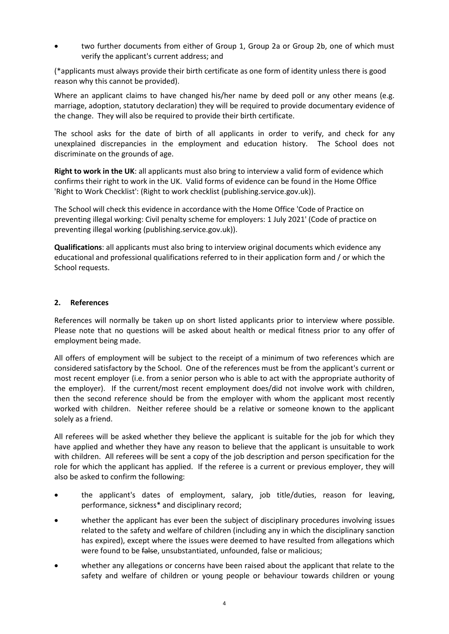two further documents from either of Group 1, Group 2a or Group 2b, one of which must verify the applicant's current address; and

(\*applicants must always provide their birth certificate as one form of identity unless there is good reason why this cannot be provided).

Where an applicant claims to have changed his/her name by deed poll or any other means (e.g. marriage, adoption, statutory declaration) they will be required to provide documentary evidence of the change. They will also be required to provide their birth certificate.

The school asks for the date of birth of all applicants in order to verify, and check for any unexplained discrepancies in the employment and education history. The School does not discriminate on the grounds of age.

**Right to work in the UK**: all applicants must also bring to interview a valid form of evidence which confirms their right to work in the UK. Valid forms of evidence can be found in the Home Office 'Right to Work Checklist': (Right to work checklist (publishing.service.gov.uk)).

The School will check this evidence in accordance with the Home Office 'Code of Practice on preventing illegal working: Civil penalty scheme for employers: 1 July 2021' (Code of practice on preventing illegal working (publishing.service.gov.uk)).

**Qualifications**: all applicants must also bring to interview original documents which evidence any educational and professional qualifications referred to in their application form and / or which the School requests.

### **2. References**

References will normally be taken up on short listed applicants prior to interview where possible. Please note that no questions will be asked about health or medical fitness prior to any offer of employment being made.

All offers of employment will be subject to the receipt of a minimum of two references which are considered satisfactory by the School. One of the references must be from the applicant's current or most recent employer (i.e. from a senior person who is able to act with the appropriate authority of the employer). If the current/most recent employment does/did not involve work with children, then the second reference should be from the employer with whom the applicant most recently worked with children. Neither referee should be a relative or someone known to the applicant solely as a friend.

All referees will be asked whether they believe the applicant is suitable for the job for which they have applied and whether they have any reason to believe that the applicant is unsuitable to work with children. All referees will be sent a copy of the job description and person specification for the role for which the applicant has applied. If the referee is a current or previous employer, they will also be asked to confirm the following:

- the applicant's dates of employment, salary, job title/duties, reason for leaving, performance, sickness\* and disciplinary record;
- whether the applicant has ever been the subject of disciplinary procedures involving issues related to the safety and welfare of children (including any in which the disciplinary sanction has expired), except where the issues were deemed to have resulted from allegations which were found to be false, unsubstantiated, unfounded, false or malicious;
- whether any allegations or concerns have been raised about the applicant that relate to the safety and welfare of children or young people or behaviour towards children or young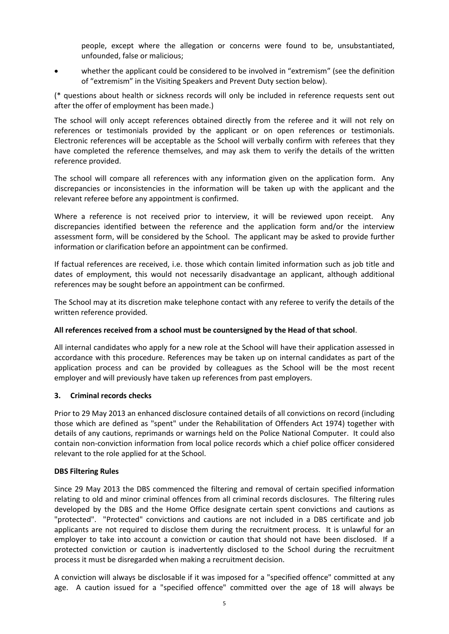people, except where the allegation or concerns were found to be, unsubstantiated, unfounded, false or malicious;

whether the applicant could be considered to be involved in "extremism" (see the definition of "extremism" in the Visiting Speakers and Prevent Duty section below).

(\* questions about health or sickness records will only be included in reference requests sent out after the offer of employment has been made.)

The school will only accept references obtained directly from the referee and it will not rely on references or testimonials provided by the applicant or on open references or testimonials. Electronic references will be acceptable as the School will verbally confirm with referees that they have completed the reference themselves, and may ask them to verify the details of the written reference provided.

The school will compare all references with any information given on the application form. Any discrepancies or inconsistencies in the information will be taken up with the applicant and the relevant referee before any appointment is confirmed.

Where a reference is not received prior to interview, it will be reviewed upon receipt. Any discrepancies identified between the reference and the application form and/or the interview assessment form, will be considered by the School. The applicant may be asked to provide further information or clarification before an appointment can be confirmed.

If factual references are received, i.e. those which contain limited information such as job title and dates of employment, this would not necessarily disadvantage an applicant, although additional references may be sought before an appointment can be confirmed.

The School may at its discretion make telephone contact with any referee to verify the details of the written reference provided.

### **All references received from a school must be countersigned by the Head of that school**.

All internal candidates who apply for a new role at the School will have their application assessed in accordance with this procedure. References may be taken up on internal candidates as part of the application process and can be provided by colleagues as the School will be the most recent employer and will previously have taken up references from past employers.

### **3. Criminal records checks**

Prior to 29 May 2013 an enhanced disclosure contained details of all convictions on record (including those which are defined as "spent" under the Rehabilitation of Offenders Act 1974) together with details of any cautions, reprimands or warnings held on the Police National Computer. It could also contain non-conviction information from local police records which a chief police officer considered relevant to the role applied for at the School.

### **DBS Filtering Rules**

Since 29 May 2013 the DBS commenced the filtering and removal of certain specified information relating to old and minor criminal offences from all criminal records disclosures. The filtering rules developed by the DBS and the Home Office designate certain spent convictions and cautions as "protected". "Protected" convictions and cautions are not included in a DBS certificate and job applicants are not required to disclose them during the recruitment process. It is unlawful for an employer to take into account a conviction or caution that should not have been disclosed. If a protected conviction or caution is inadvertently disclosed to the School during the recruitment process it must be disregarded when making a recruitment decision.

A conviction will always be disclosable if it was imposed for a "specified offence" committed at any age. A caution issued for a "specified offence" committed over the age of 18 will always be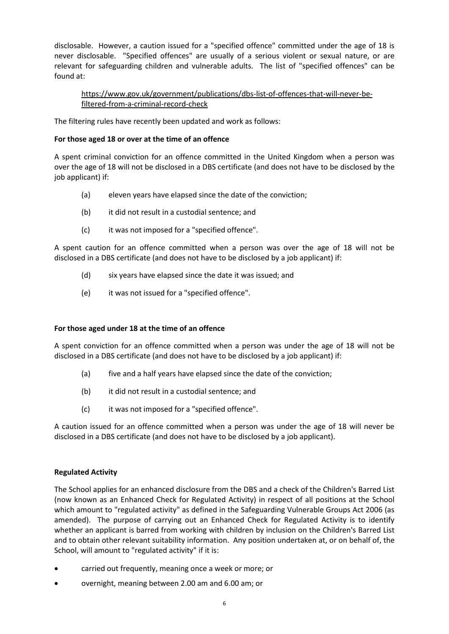disclosable. However, a caution issued for a "specified offence" committed under the age of 18 is never disclosable. "Specified offences" are usually of a serious violent or sexual nature, or are relevant for safeguarding children and vulnerable adults. The list of "specified offences" can be found at:

[https://www.gov.uk/government/publications/dbs-list-of-offences-that-will-never-be](https://www.gov.uk/government/publications/dbs-list-of-offences-that-will-never-be-filtered-from-a-criminal-record-check)[filtered-from-a-criminal-record-check](https://www.gov.uk/government/publications/dbs-list-of-offences-that-will-never-be-filtered-from-a-criminal-record-check)

The filtering rules have recently been updated and work as follows:

### **For those aged 18 or over at the time of an offence**

A spent criminal conviction for an offence committed in the United Kingdom when a person was over the age of 18 will not be disclosed in a DBS certificate (and does not have to be disclosed by the job applicant) if:

- (a) eleven years have elapsed since the date of the conviction;
- (b) it did not result in a custodial sentence; and
- (c) it was not imposed for a "specified offence".

A spent caution for an offence committed when a person was over the age of 18 will not be disclosed in a DBS certificate (and does not have to be disclosed by a job applicant) if:

- (d) six years have elapsed since the date it was issued; and
- (e) it was not issued for a "specified offence".

### **For those aged under 18 at the time of an offence**

A spent conviction for an offence committed when a person was under the age of 18 will not be disclosed in a DBS certificate (and does not have to be disclosed by a job applicant) if:

- (a) five and a half years have elapsed since the date of the conviction;
- (b) it did not result in a custodial sentence; and
- (c) it was not imposed for a "specified offence".

A caution issued for an offence committed when a person was under the age of 18 will never be disclosed in a DBS certificate (and does not have to be disclosed by a job applicant).

### **Regulated Activity**

The School applies for an enhanced disclosure from the DBS and a check of the Children's Barred List (now known as an Enhanced Check for Regulated Activity) in respect of all positions at the School which amount to "regulated activity" as defined in the Safeguarding Vulnerable Groups Act 2006 (as amended). The purpose of carrying out an Enhanced Check for Regulated Activity is to identify whether an applicant is barred from working with children by inclusion on the Children's Barred List and to obtain other relevant suitability information. Any position undertaken at, or on behalf of, the School, will amount to "regulated activity" if it is:

- carried out frequently, meaning once a week or more; or
- overnight, meaning between 2.00 am and 6.00 am; or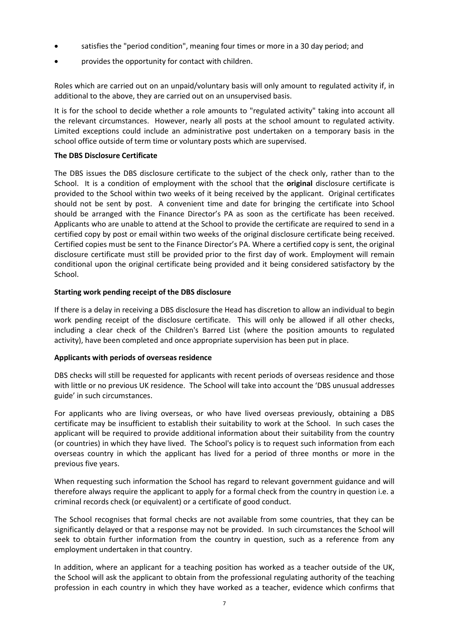- satisfies the "period condition", meaning four times or more in a 30 day period; and
- provides the opportunity for contact with children.

Roles which are carried out on an unpaid/voluntary basis will only amount to regulated activity if, in additional to the above, they are carried out on an unsupervised basis.

It is for the school to decide whether a role amounts to "regulated activity" taking into account all the relevant circumstances. However, nearly all posts at the school amount to regulated activity. Limited exceptions could include an administrative post undertaken on a temporary basis in the school office outside of term time or voluntary posts which are supervised.

### **The DBS Disclosure Certificate**

The DBS issues the DBS disclosure certificate to the subject of the check only, rather than to the School. It is a condition of employment with the school that the **original** disclosure certificate is provided to the School within two weeks of it being received by the applicant. Original certificates should not be sent by post. A convenient time and date for bringing the certificate into School should be arranged with the Finance Director's PA as soon as the certificate has been received. Applicants who are unable to attend at the School to provide the certificate are required to send in a certified copy by post or email within two weeks of the original disclosure certificate being received. Certified copies must be sent to the Finance Director's PA. Where a certified copy is sent, the original disclosure certificate must still be provided prior to the first day of work. Employment will remain conditional upon the original certificate being provided and it being considered satisfactory by the School.

### **Starting work pending receipt of the DBS disclosure**

If there is a delay in receiving a DBS disclosure the Head has discretion to allow an individual to begin work pending receipt of the disclosure certificate. This will only be allowed if all other checks, including a clear check of the Children's Barred List (where the position amounts to regulated activity), have been completed and once appropriate supervision has been put in place.

### **Applicants with periods of overseas residence**

DBS checks will still be requested for applicants with recent periods of overseas residence and those with little or no previous UK residence. The School will take into account the 'DBS unusual addresses guide' in such circumstances.

For applicants who are living overseas, or who have lived overseas previously, obtaining a DBS certificate may be insufficient to establish their suitability to work at the School. In such cases the applicant will be required to provide additional information about their suitability from the country (or countries) in which they have lived. The School's policy is to request such information from each overseas country in which the applicant has lived for a period of three months or more in the previous five years.

When requesting such information the School has regard to relevant government guidance and will therefore always require the applicant to apply for a formal check from the country in question i.e. a criminal records check (or equivalent) or a certificate of good conduct.

The School recognises that formal checks are not available from some countries, that they can be significantly delayed or that a response may not be provided. In such circumstances the School will seek to obtain further information from the country in question, such as a reference from any employment undertaken in that country.

In addition, where an applicant for a teaching position has worked as a teacher outside of the UK, the School will ask the applicant to obtain from the professional regulating authority of the teaching profession in each country in which they have worked as a teacher, evidence which confirms that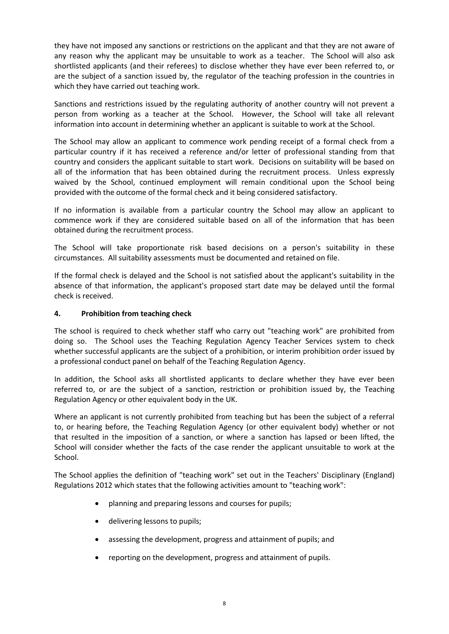they have not imposed any sanctions or restrictions on the applicant and that they are not aware of any reason why the applicant may be unsuitable to work as a teacher. The School will also ask shortlisted applicants (and their referees) to disclose whether they have ever been referred to, or are the subject of a sanction issued by, the regulator of the teaching profession in the countries in which they have carried out teaching work.

Sanctions and restrictions issued by the regulating authority of another country will not prevent a person from working as a teacher at the School. However, the School will take all relevant information into account in determining whether an applicant is suitable to work at the School.

The School may allow an applicant to commence work pending receipt of a formal check from a particular country if it has received a reference and/or letter of professional standing from that country and considers the applicant suitable to start work. Decisions on suitability will be based on all of the information that has been obtained during the recruitment process. Unless expressly waived by the School, continued employment will remain conditional upon the School being provided with the outcome of the formal check and it being considered satisfactory.

If no information is available from a particular country the School may allow an applicant to commence work if they are considered suitable based on all of the information that has been obtained during the recruitment process.

The School will take proportionate risk based decisions on a person's suitability in these circumstances. All suitability assessments must be documented and retained on file.

If the formal check is delayed and the School is not satisfied about the applicant's suitability in the absence of that information, the applicant's proposed start date may be delayed until the formal check is received.

### **4. Prohibition from teaching check**

The school is required to check whether staff who carry out "teaching work" are prohibited from doing so. The School uses the Teaching Regulation Agency Teacher Services system to check whether successful applicants are the subject of a prohibition, or interim prohibition order issued by a professional conduct panel on behalf of the Teaching Regulation Agency.

In addition, the School asks all shortlisted applicants to declare whether they have ever been referred to, or are the subject of a sanction, restriction or prohibition issued by, the Teaching Regulation Agency or other equivalent body in the UK.

Where an applicant is not currently prohibited from teaching but has been the subject of a referral to, or hearing before, the Teaching Regulation Agency (or other equivalent body) whether or not that resulted in the imposition of a sanction, or where a sanction has lapsed or been lifted, the School will consider whether the facts of the case render the applicant unsuitable to work at the School.

The School applies the definition of "teaching work" set out in the Teachers' Disciplinary (England) Regulations 2012 which states that the following activities amount to "teaching work":

- planning and preparing lessons and courses for pupils;
- delivering lessons to pupils;
- assessing the development, progress and attainment of pupils; and
- reporting on the development, progress and attainment of pupils.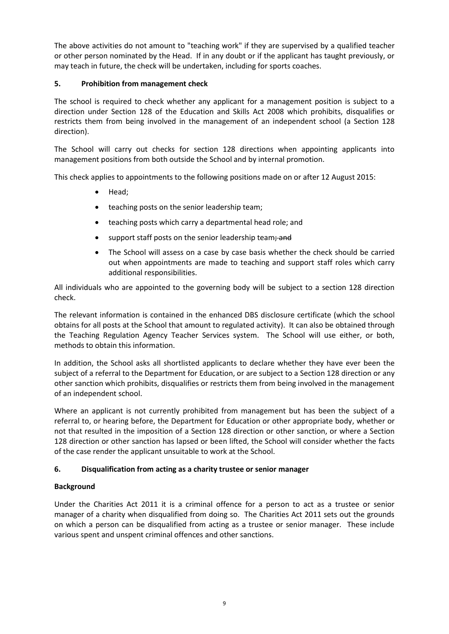The above activities do not amount to "teaching work" if they are supervised by a qualified teacher or other person nominated by the Head. If in any doubt or if the applicant has taught previously, or may teach in future, the check will be undertaken, including for sports coaches.

# **5. Prohibition from management check**

The school is required to check whether any applicant for a management position is subject to a direction under Section 128 of the Education and Skills Act 2008 which prohibits, disqualifies or restricts them from being involved in the management of an independent school (a Section 128 direction).

The School will carry out checks for section 128 directions when appointing applicants into management positions from both outside the School and by internal promotion.

This check applies to appointments to the following positions made on or after 12 August 2015:

- Head;
- teaching posts on the senior leadership team;
- teaching posts which carry a departmental head role; and
- support staff posts on the senior leadership team; and
- The School will assess on a case by case basis whether the check should be carried out when appointments are made to teaching and support staff roles which carry additional responsibilities.

All individuals who are appointed to the governing body will be subject to a section 128 direction check.

The relevant information is contained in the enhanced DBS disclosure certificate (which the school obtains for all posts at the School that amount to regulated activity). It can also be obtained through the Teaching Regulation Agency Teacher Services system. The School will use either, or both, methods to obtain this information.

In addition, the School asks all shortlisted applicants to declare whether they have ever been the subject of a referral to the Department for Education, or are subject to a Section 128 direction or any other sanction which prohibits, disqualifies or restricts them from being involved in the management of an independent school.

Where an applicant is not currently prohibited from management but has been the subject of a referral to, or hearing before, the Department for Education or other appropriate body, whether or not that resulted in the imposition of a Section 128 direction or other sanction, or where a Section 128 direction or other sanction has lapsed or been lifted, the School will consider whether the facts of the case render the applicant unsuitable to work at the School.

# **6. Disqualification from acting as a charity trustee or senior manager**

# **Background**

Under the Charities Act 2011 it is a criminal offence for a person to act as a trustee or senior manager of a charity when disqualified from doing so. The Charities Act 2011 sets out the grounds on which a person can be disqualified from acting as a trustee or senior manager. These include various spent and unspent criminal offences and other sanctions.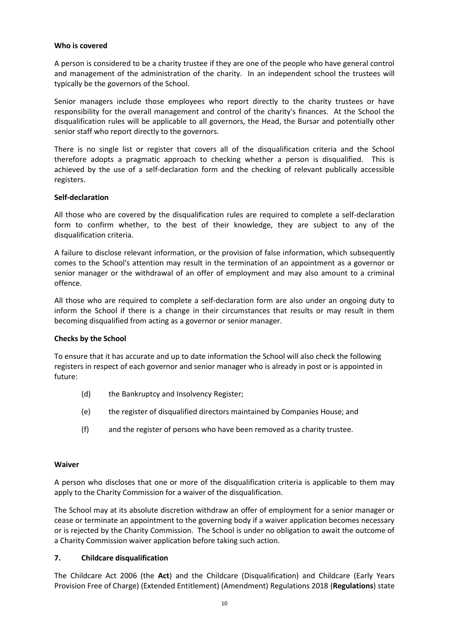### **Who is covered**

A person is considered to be a charity trustee if they are one of the people who have general control and management of the administration of the charity. In an independent school the trustees will typically be the governors of the School.

Senior managers include those employees who report directly to the charity trustees or have responsibility for the overall management and control of the charity's finances. At the School the disqualification rules will be applicable to all governors, the Head, the Bursar and potentially other senior staff who report directly to the governors.

There is no single list or register that covers all of the disqualification criteria and the School therefore adopts a pragmatic approach to checking whether a person is disqualified. This is achieved by the use of a self-declaration form and the checking of relevant publically accessible registers.

### **Self-declaration**

All those who are covered by the disqualification rules are required to complete a self-declaration form to confirm whether, to the best of their knowledge, they are subject to any of the disqualification criteria.

A failure to disclose relevant information, or the provision of false information, which subsequently comes to the School's attention may result in the termination of an appointment as a governor or senior manager or the withdrawal of an offer of employment and may also amount to a criminal offence.

All those who are required to complete a self-declaration form are also under an ongoing duty to inform the School if there is a change in their circumstances that results or may result in them becoming disqualified from acting as a governor or senior manager.

# **Checks by the School**

To ensure that it has accurate and up to date information the School will also check the following registers in respect of each governor and senior manager who is already in post or is appointed in future:

- (d) the Bankruptcy and Insolvency Register;
- (e) the register of disqualified directors maintained by Companies House; and
- (f) and the register of persons who have been removed as a charity trustee.

### **Waiver**

A person who discloses that one or more of the disqualification criteria is applicable to them may apply to the Charity Commission for a waiver of the disqualification.

The School may at its absolute discretion withdraw an offer of employment for a senior manager or cease or terminate an appointment to the governing body if a waiver application becomes necessary or is rejected by the Charity Commission. The School is under no obligation to await the outcome of a Charity Commission waiver application before taking such action.

### **7. Childcare disqualification**

The Childcare Act 2006 (the **Act**) and the Childcare (Disqualification) and Childcare (Early Years Provision Free of Charge) (Extended Entitlement) (Amendment) Regulations 2018 (**Regulations**) state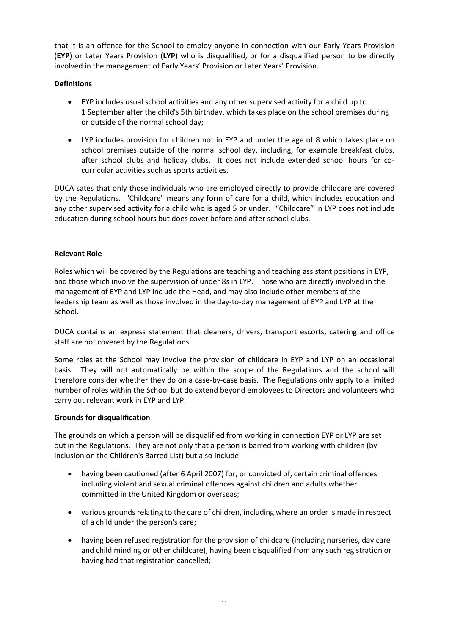that it is an offence for the School to employ anyone in connection with our Early Years Provision (**EYP**) or Later Years Provision (**LYP**) who is disqualified, or for a disqualified person to be directly involved in the management of Early Years' Provision or Later Years' Provision.

# **Definitions**

- EYP includes usual school activities and any other supervised activity for a child up to 1 September after the child's 5th birthday, which takes place on the school premises during or outside of the normal school day;
- LYP includes provision for children not in EYP and under the age of 8 which takes place on school premises outside of the normal school day, including, for example breakfast clubs, after school clubs and holiday clubs. It does not include extended school hours for cocurricular activities such as sports activities.

DUCA sates that only those individuals who are employed directly to provide childcare are covered by the Regulations. "Childcare" means any form of care for a child, which includes education and any other supervised activity for a child who is aged 5 or under."Childcare" in LYP does not include education during school hours but does cover before and after school clubs.

# **Relevant Role**

Roles which will be covered by the Regulations are teaching and teaching assistant positions in EYP, and those which involve the supervision of under 8s in LYP. Those who are directly involved in the management of EYP and LYP include the Head, and may also include other members of the leadership team as well as those involved in the day-to-day management of EYP and LYP at the School.

DUCA contains an express statement that cleaners, drivers, transport escorts, catering and office staff are not covered by the Regulations.

Some roles at the School may involve the provision of childcare in EYP and LYP on an occasional basis. They will not automatically be within the scope of the Regulations and the school will therefore consider whether they do on a case-by-case basis. The Regulations only apply to a limited number of roles within the School but do extend beyond employees to Directors and volunteers who carry out relevant work in EYP and LYP.

# **Grounds for disqualification**

The grounds on which a person will be disqualified from working in connection EYP or LYP are set out in the Regulations. They are not only that a person is barred from working with children (by inclusion on the Children's Barred List) but also include:

- having been cautioned (after 6 April 2007) for, or convicted of, certain criminal offences including violent and sexual criminal offences against children and adults whether committed in the United Kingdom or overseas;
- various grounds relating to the care of children, including where an order is made in respect of a child under the person's care;
- having been refused registration for the provision of childcare (including nurseries, day care and child minding or other childcare), having been disqualified from any such registration or having had that registration cancelled;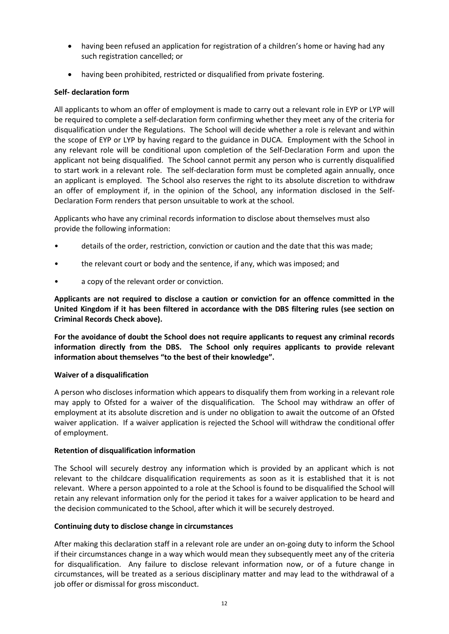- having been refused an application for registration of a children's home or having had any such registration cancelled; or
- having been prohibited, restricted or disqualified from private fostering.

### **Self- declaration form**

All applicants to whom an offer of employment is made to carry out a relevant role in EYP or LYP will be required to complete a self-declaration form confirming whether they meet any of the criteria for disqualification under the Regulations. The School will decide whether a role is relevant and within the scope of EYP or LYP by having regard to the guidance in DUCA. Employment with the School in any relevant role will be conditional upon completion of the Self-Declaration Form and upon the applicant not being disqualified. The School cannot permit any person who is currently disqualified to start work in a relevant role. The self-declaration form must be completed again annually, once an applicant is employed. The School also reserves the right to its absolute discretion to withdraw an offer of employment if, in the opinion of the School, any information disclosed in the Self-Declaration Form renders that person unsuitable to work at the school.

Applicants who have any criminal records information to disclose about themselves must also provide the following information:

- details of the order, restriction, conviction or caution and the date that this was made;
- the relevant court or body and the sentence, if any, which was imposed; and
- a copy of the relevant order or conviction.

**Applicants are not required to disclose a caution or conviction for an offence committed in the United Kingdom if it has been filtered in accordance with the DBS filtering rules (see section on Criminal Records Check above).**

**For the avoidance of doubt the School does not require applicants to request any criminal records information directly from the DBS. The School only requires applicants to provide relevant information about themselves "to the best of their knowledge".**

### **Waiver of a disqualification**

A person who discloses information which appears to disqualify them from working in a relevant role may apply to Ofsted for a waiver of the disqualification. The School may withdraw an offer of employment at its absolute discretion and is under no obligation to await the outcome of an Ofsted waiver application. If a waiver application is rejected the School will withdraw the conditional offer of employment.

### **Retention of disqualification information**

The School will securely destroy any information which is provided by an applicant which is not relevant to the childcare disqualification requirements as soon as it is established that it is not relevant. Where a person appointed to a role at the School is found to be disqualified the School will retain any relevant information only for the period it takes for a waiver application to be heard and the decision communicated to the School, after which it will be securely destroyed.

### **Continuing duty to disclose change in circumstances**

After making this declaration staff in a relevant role are under an on-going duty to inform the School if their circumstances change in a way which would mean they subsequently meet any of the criteria for disqualification. Any failure to disclose relevant information now, or of a future change in circumstances, will be treated as a serious disciplinary matter and may lead to the withdrawal of a job offer or dismissal for gross misconduct.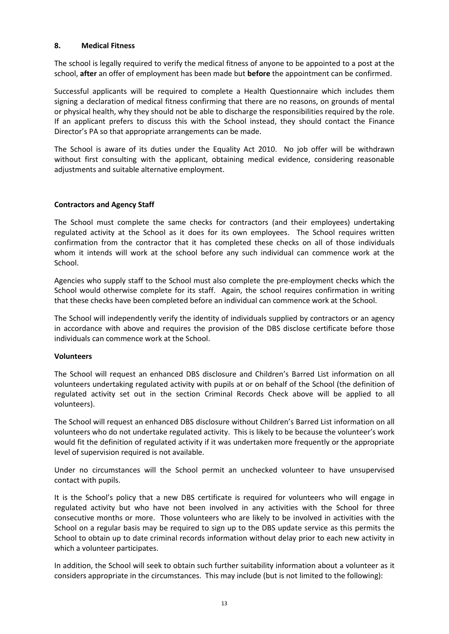### **8. Medical Fitness**

The school is legally required to verify the medical fitness of anyone to be appointed to a post at the school, **after** an offer of employment has been made but **before** the appointment can be confirmed.

Successful applicants will be required to complete a Health Questionnaire which includes them signing a declaration of medical fitness confirming that there are no reasons, on grounds of mental or physical health, why they should not be able to discharge the responsibilities required by the role. If an applicant prefers to discuss this with the School instead, they should contact the Finance Director's PA so that appropriate arrangements can be made.

The School is aware of its duties under the Equality Act 2010. No job offer will be withdrawn without first consulting with the applicant, obtaining medical evidence, considering reasonable adjustments and suitable alternative employment.

### **Contractors and Agency Staff**

The School must complete the same checks for contractors (and their employees) undertaking regulated activity at the School as it does for its own employees. The School requires written confirmation from the contractor that it has completed these checks on all of those individuals whom it intends will work at the school before any such individual can commence work at the School.

Agencies who supply staff to the School must also complete the pre-employment checks which the School would otherwise complete for its staff. Again, the school requires confirmation in writing that these checks have been completed before an individual can commence work at the School.

The School will independently verify the identity of individuals supplied by contractors or an agency in accordance with above and requires the provision of the DBS disclose certificate before those individuals can commence work at the School.

### **Volunteers**

The School will request an enhanced DBS disclosure and Children's Barred List information on all volunteers undertaking regulated activity with pupils at or on behalf of the School (the definition of regulated activity set out in the section Criminal Records Check above will be applied to all volunteers).

The School will request an enhanced DBS disclosure without Children's Barred List information on all volunteers who do not undertake regulated activity. This is likely to be because the volunteer's work would fit the definition of regulated activity if it was undertaken more frequently or the appropriate level of supervision required is not available.

Under no circumstances will the School permit an unchecked volunteer to have unsupervised contact with pupils.

It is the School's policy that a new DBS certificate is required for volunteers who will engage in regulated activity but who have not been involved in any activities with the School for three consecutive months or more. Those volunteers who are likely to be involved in activities with the School on a regular basis may be required to sign up to the DBS update service as this permits the School to obtain up to date criminal records information without delay prior to each new activity in which a volunteer participates.

In addition, the School will seek to obtain such further suitability information about a volunteer as it considers appropriate in the circumstances. This may include (but is not limited to the following):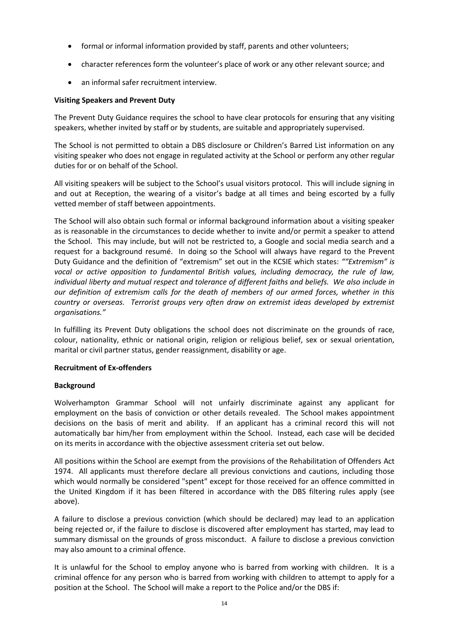- formal or informal information provided by staff, parents and other volunteers;
- character references form the volunteer's place of work or any other relevant source; and
- an informal safer recruitment interview.

### **Visiting Speakers and Prevent Duty**

The Prevent Duty Guidance requires the school to have clear protocols for ensuring that any visiting speakers, whether invited by staff or by students, are suitable and appropriately supervised.

The School is not permitted to obtain a DBS disclosure or Children's Barred List information on any visiting speaker who does not engage in regulated activity at the School or perform any other regular duties for or on behalf of the School.

All visiting speakers will be subject to the School's usual visitors protocol. This will include signing in and out at Reception, the wearing of a visitor's badge at all times and being escorted by a fully vetted member of staff between appointments.

The School will also obtain such formal or informal background information about a visiting speaker as is reasonable in the circumstances to decide whether to invite and/or permit a speaker to attend the School. This may include, but will not be restricted to, a Google and social media search and a request for a background resumé. In doing so the School will always have regard to the Prevent Duty Guidance and the definition of "extremism" set out in the KCSIE which states: *""Extremism" is vocal or active opposition to fundamental British values, including democracy, the rule of law, individual liberty and mutual respect and tolerance of different faiths and beliefs. We also include in our definition of extremism calls for the death of members of our armed forces, whether in this country or overseas. Terrorist groups very often draw on extremist ideas developed by extremist organisations."*

In fulfilling its Prevent Duty obligations the school does not discriminate on the grounds of race, colour, nationality, ethnic or national origin, religion or religious belief, sex or sexual orientation, marital or civil partner status, gender reassignment, disability or age.

### **Recruitment of Ex-offenders**

### **Background**

Wolverhampton Grammar School will not unfairly discriminate against any applicant for employment on the basis of conviction or other details revealed. The School makes appointment decisions on the basis of merit and ability. If an applicant has a criminal record this will not automatically bar him/her from employment within the School. Instead, each case will be decided on its merits in accordance with the objective assessment criteria set out below.

All positions within the School are exempt from the provisions of the Rehabilitation of Offenders Act 1974. All applicants must therefore declare all previous convictions and cautions, including those which would normally be considered "spent" except for those received for an offence committed in the United Kingdom if it has been filtered in accordance with the DBS filtering rules apply (see above).

A failure to disclose a previous conviction (which should be declared) may lead to an application being rejected or, if the failure to disclose is discovered after employment has started, may lead to summary dismissal on the grounds of gross misconduct. A failure to disclose a previous conviction may also amount to a criminal offence.

It is unlawful for the School to employ anyone who is barred from working with children. It is a criminal offence for any person who is barred from working with children to attempt to apply for a position at the School. The School will make a report to the Police and/or the DBS if: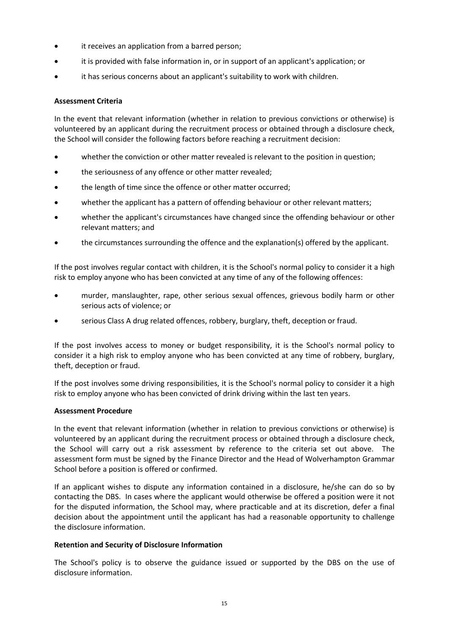- it receives an application from a barred person;
- it is provided with false information in, or in support of an applicant's application; or
- it has serious concerns about an applicant's suitability to work with children.

# **Assessment Criteria**

In the event that relevant information (whether in relation to previous convictions or otherwise) is volunteered by an applicant during the recruitment process or obtained through a disclosure check, the School will consider the following factors before reaching a recruitment decision:

- whether the conviction or other matter revealed is relevant to the position in question;
- the seriousness of any offence or other matter revealed;
- the length of time since the offence or other matter occurred;
- whether the applicant has a pattern of offending behaviour or other relevant matters;
- whether the applicant's circumstances have changed since the offending behaviour or other relevant matters; and
- the circumstances surrounding the offence and the explanation(s) offered by the applicant.

If the post involves regular contact with children, it is the School's normal policy to consider it a high risk to employ anyone who has been convicted at any time of any of the following offences:

- murder, manslaughter, rape, other serious sexual offences, grievous bodily harm or other serious acts of violence; or
- serious Class A drug related offences, robbery, burglary, theft, deception or fraud.

If the post involves access to money or budget responsibility, it is the School's normal policy to consider it a high risk to employ anyone who has been convicted at any time of robbery, burglary, theft, deception or fraud.

If the post involves some driving responsibilities, it is the School's normal policy to consider it a high risk to employ anyone who has been convicted of drink driving within the last ten years.

# **Assessment Procedure**

In the event that relevant information (whether in relation to previous convictions or otherwise) is volunteered by an applicant during the recruitment process or obtained through a disclosure check, the School will carry out a risk assessment by reference to the criteria set out above. The assessment form must be signed by the Finance Director and the Head of Wolverhampton Grammar School before a position is offered or confirmed.

If an applicant wishes to dispute any information contained in a disclosure, he/she can do so by contacting the DBS. In cases where the applicant would otherwise be offered a position were it not for the disputed information, the School may, where practicable and at its discretion, defer a final decision about the appointment until the applicant has had a reasonable opportunity to challenge the disclosure information.

# **Retention and Security of Disclosure Information**

The School's policy is to observe the guidance issued or supported by the DBS on the use of disclosure information.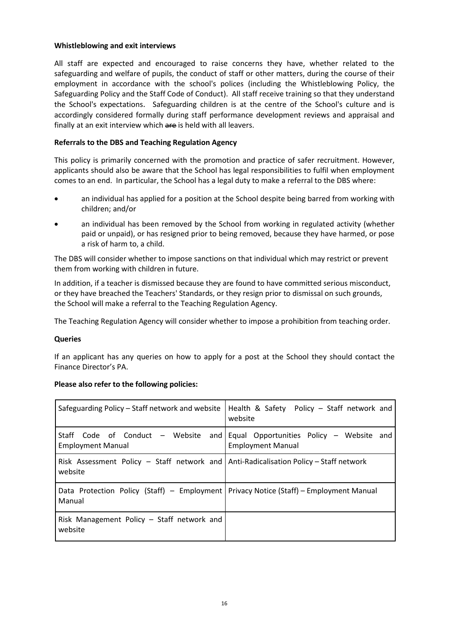### **Whistleblowing and exit interviews**

All staff are expected and encouraged to raise concerns they have, whether related to the safeguarding and welfare of pupils, the conduct of staff or other matters, during the course of their employment in accordance with the school's polices (including the Whistleblowing Policy, the Safeguarding Policy and the Staff Code of Conduct). All staff receive training so that they understand the School's expectations. Safeguarding children is at the centre of the School's culture and is accordingly considered formally during staff performance development reviews and appraisal and finally at an exit interview which are is held with all leavers.

### **Referrals to the DBS and Teaching Regulation Agency**

This policy is primarily concerned with the promotion and practice of safer recruitment. However, applicants should also be aware that the School has legal responsibilities to fulfil when employment comes to an end. In particular, the School has a legal duty to make a referral to the DBS where:

- an individual has applied for a position at the School despite being barred from working with children; and/or
- an individual has been removed by the School from working in regulated activity (whether paid or unpaid), or has resigned prior to being removed, because they have harmed, or pose a risk of harm to, a child.

The DBS will consider whether to impose sanctions on that individual which may restrict or prevent them from working with children in future.

In addition, if a teacher is dismissed because they are found to have committed serious misconduct, or they have breached the Teachers' Standards, or they resign prior to dismissal on such grounds, the School will make a referral to the Teaching Regulation Agency.

The Teaching Regulation Agency will consider whether to impose a prohibition from teaching order.

### **Queries**

If an applicant has any queries on how to apply for a post at the School they should contact the Finance Director's PA.

### **Please also refer to the following policies:**

| Safeguarding Policy - Staff network and website                                                    | Health & Safety Policy - Staff network and<br>website                |
|----------------------------------------------------------------------------------------------------|----------------------------------------------------------------------|
| Staff Code of Conduct – Website and<br><b>Employment Manual</b>                                    | Equal Opportunities Policy - Website and<br><b>Employment Manual</b> |
| Risk Assessment Policy – Staff network and Anti-Radicalisation Policy – Staff network<br>website   |                                                                      |
| Data Protection Policy (Staff) – Employment   Privacy Notice (Staff) – Employment Manual<br>Manual |                                                                      |
| Risk Management Policy - Staff network and<br>website                                              |                                                                      |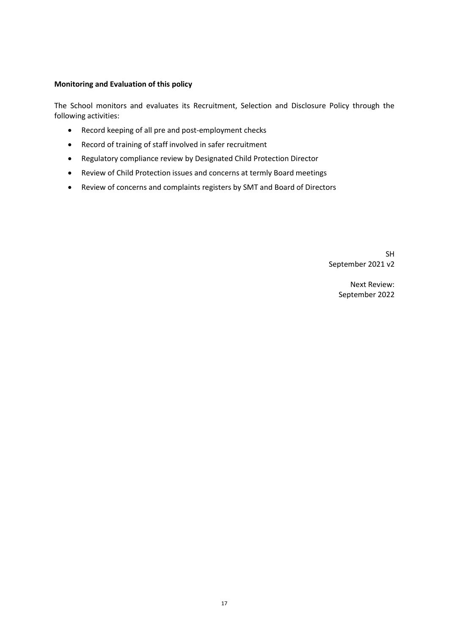### **Monitoring and Evaluation of this policy**

The School monitors and evaluates its Recruitment, Selection and Disclosure Policy through the following activities:

- Record keeping of all pre and post-employment checks
- Record of training of staff involved in safer recruitment
- Regulatory compliance review by Designated Child Protection Director
- Review of Child Protection issues and concerns at termly Board meetings
- Review of concerns and complaints registers by SMT and Board of Directors

SH September 2021 v2

> Next Review: September 2022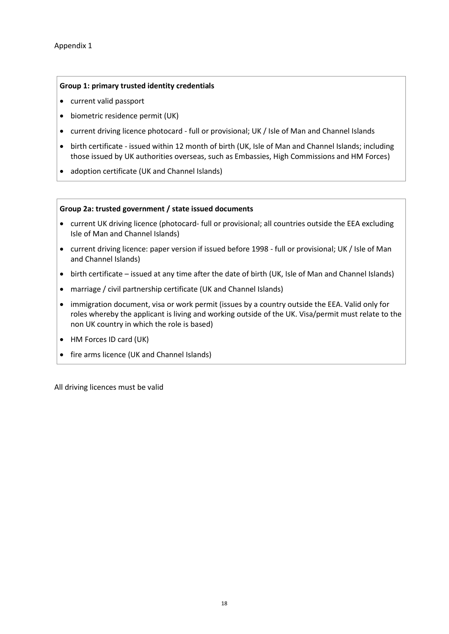#### **Group 1: primary trusted identity credentials**

- current valid passport
- biometric residence permit (UK)
- current driving licence photocard full or provisional; UK / Isle of Man and Channel Islands
- birth certificate issued within 12 month of birth (UK, Isle of Man and Channel Islands; including those issued by UK authorities overseas, such as Embassies, High Commissions and HM Forces)
- adoption certificate (UK and Channel Islands)

#### **Group 2a: trusted government / state issued documents**

- current UK driving licence (photocard- full or provisional; all countries outside the EEA excluding Isle of Man and Channel Islands)
- current driving licence: paper version if issued before 1998 full or provisional; UK / Isle of Man and Channel Islands)
- birth certificate issued at any time after the date of birth (UK, Isle of Man and Channel Islands)
- marriage / civil partnership certificate (UK and Channel Islands)
- immigration document, visa or work permit (issues by a country outside the EEA. Valid only for roles whereby the applicant is living and working outside of the UK. Visa/permit must relate to the non UK country in which the role is based)
- HM Forces ID card (UK)
- fire arms licence (UK and Channel Islands)

All driving licences must be valid